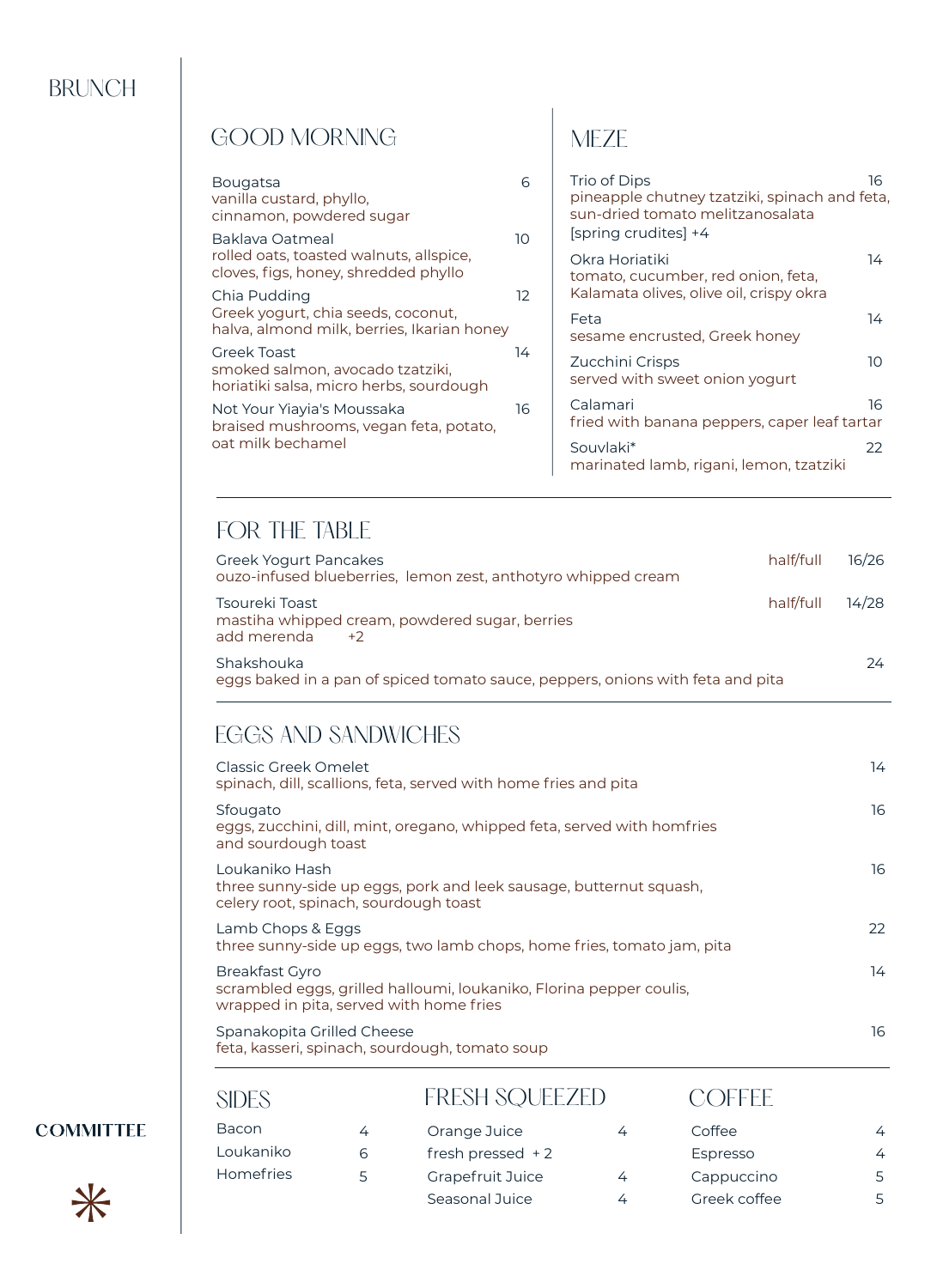#### BRUNCH

| GOOD MORNING                                                                                       |                 |                                                                                                                          |    |
|----------------------------------------------------------------------------------------------------|-----------------|--------------------------------------------------------------------------------------------------------------------------|----|
| <b>Bougatsa</b><br>vanilla custard, phyllo,<br>cinnamon, powdered sugar                            | 6               | Trio of Dips<br>pineapple chutney tzatziki, spinach and feta<br>sun-dried tomato melitzanosalata<br>[spring crudites] +4 | 16 |
| Baklava Oatmeal<br>rolled oats, toasted walnuts, allspice,<br>cloves, figs, honey, shredded phyllo | 10 <sup>2</sup> | Okra Horiatiki<br>tomato, cucumber, red onion, feta,                                                                     | 14 |
| Chia Pudding<br>Greek yogurt, chia seeds, coconut,<br>halva, almond milk, berries, Ikarian honey   | 12              | Kalamata olives, olive oil, crispy okra<br>Feta<br>sesame encrusted, Greek honey                                         | 14 |
| <b>Greek Toast</b><br>smoked salmon, avocado tzatziki,<br>horiatiki salsa, micro herbs, sourdough  | 14              | Zucchini Crisps<br>served with sweet onion yogurt                                                                        | 10 |
| Not Your Yiayia's Moussaka<br>braised mushrooms, vegan feta, potato,<br>oat milk bechamel          | 16              | Calamari<br>fried with banana peppers, caper leaf tartar                                                                 | 16 |
|                                                                                                    |                 | Souvlaki*<br>marinated lamb, rigani, lemon, tzatziki                                                                     | 22 |

and feta,

# FOR THE TABLE

| Greek Yogurt Pancakes<br>ouzo-infused blueberries, lemon zest, anthotyro whipped cream       | half/full | 16/26 |
|----------------------------------------------------------------------------------------------|-----------|-------|
| Tsoureki Toast<br>mastiha whipped cream, powdered sugar, berries<br>add merenda<br>$+2$      | half/full | 14/28 |
| Shakshouka<br>eggs baked in a pan of spiced tomato sauce, peppers, onions with feta and pita |           | 24    |

#### EGGS AND SANDWICHES

| Classic Greek Omelet<br>spinach, dill, scallions, feta, served with home fries and pita                                                 | 14 |
|-----------------------------------------------------------------------------------------------------------------------------------------|----|
| Sfougato<br>eggs, zucchini, dill, mint, oregano, whipped feta, served with homfries<br>and sourdough toast                              | 16 |
| Loukaniko Hash<br>three sunny-side up eggs, pork and leek sausage, butternut squash,<br>celery root, spinach, sourdough toast           | 16 |
| Lamb Chops & Eggs<br>three sunny-side up eggs, two lamb chops, home fries, tomato jam, pita                                             | 22 |
| <b>Breakfast Gyro</b><br>scrambled eggs, grilled halloumi, loukaniko, Florina pepper coulis,<br>wrapped in pita, served with home fries | 14 |
| Spanakopita Grilled Cheese<br>feta, kasseri, spinach, sourdough, tomato soup                                                            | 16 |

| SIDES            |   | <b>FRESH SQUEEZED</b> |   | <b>COFFFE</b> |   |
|------------------|---|-----------------------|---|---------------|---|
| <b>Bacon</b>     | 4 | Orange Juice          |   | Coffee        | 4 |
| Loukaniko        | 6 | fresh pressed $+2$    |   | Espresso      | 4 |
| <b>Homefries</b> | Ь | Grapefruit Juice      | 4 | Cappuccino    | 5 |
|                  |   | Seasonal Juice        |   | Greek coffee  | 5 |